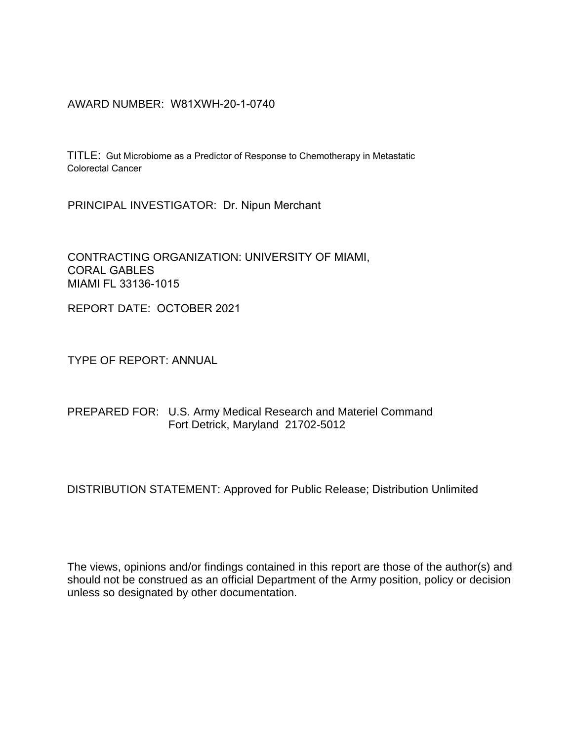AWARD NUMBER: W81XWH-20-1-0740

TITLE: Gut Microbiome as a Predictor of Response to Chemotherapy in Metastatic Colorectal Cancer

PRINCIPAL INVESTIGATOR: Dr. Nipun Merchant

CONTRACTING ORGANIZATION: UNIVERSITY OF MIAMI, CORAL GABLES MIAMI FL 33136-1015

REPORT DATE: OCTOBER 2021

TYPE OF REPORT: ANNUAL

#### PREPARED FOR: U.S. Army Medical Research and Materiel Command Fort Detrick, Maryland 21702-5012

DISTRIBUTION STATEMENT: Approved for Public Release; Distribution Unlimited

The views, opinions and/or findings contained in this report are those of the author(s) and should not be construed as an official Department of the Army position, policy or decision unless so designated by other documentation.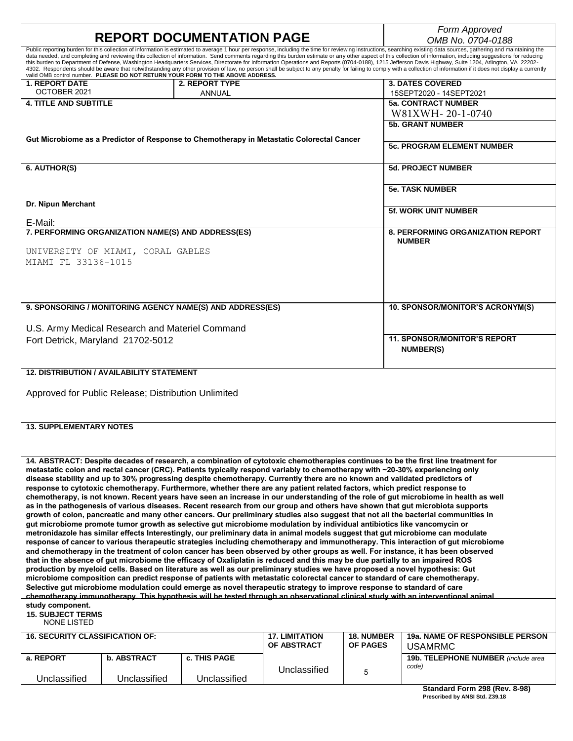| <b>REPORT DOCUMENTATION PAGE</b>                                                                                                                                                                                                                                                                                                                                                                                                                                                                                                                                                                                                                             |                     |                       |                   | Form Approved                                             |
|--------------------------------------------------------------------------------------------------------------------------------------------------------------------------------------------------------------------------------------------------------------------------------------------------------------------------------------------------------------------------------------------------------------------------------------------------------------------------------------------------------------------------------------------------------------------------------------------------------------------------------------------------------------|---------------------|-----------------------|-------------------|-----------------------------------------------------------|
| Public reporting burden for this collection of information is estimated to average 1 hour per response, including the time for reviewing instructions, searching existing data sources, gathering and maintaining the                                                                                                                                                                                                                                                                                                                                                                                                                                        |                     |                       |                   | OMB No. 0704-0188                                         |
| data needed, and completing and reviewing this collection of information. Send comments regarding this burden estimate or any other aspect of this collection of information, including suggestions for reducing<br>this burden to Department of Defense, Washington Headquarters Services, Directorate for Information Operations and Reports (0704-0188), 1215 Jefferson Davis Highway, Suite 1204, Arlington, VA 22202-<br>4302. Respondents should be aware that notwithstanding any other provision of law, no person shall be subject to any penalty for failing to comply with a collection of information if it does not display a currently valid O |                     |                       |                   |                                                           |
| <b>1. REPORT DATE</b>                                                                                                                                                                                                                                                                                                                                                                                                                                                                                                                                                                                                                                        | 2. REPORT TYPE      |                       |                   | <b>3. DATES COVERED</b>                                   |
| OCTOBER 2021                                                                                                                                                                                                                                                                                                                                                                                                                                                                                                                                                                                                                                                 | ANNUAL              |                       |                   | 15SEPT2020 - 14SEPT2021                                   |
| <b>4. TITLE AND SUBTITLE</b>                                                                                                                                                                                                                                                                                                                                                                                                                                                                                                                                                                                                                                 |                     |                       |                   | <b>5a. CONTRACT NUMBER</b>                                |
|                                                                                                                                                                                                                                                                                                                                                                                                                                                                                                                                                                                                                                                              |                     |                       |                   | W81XWH-20-1-0740<br><b>5b. GRANT NUMBER</b>               |
|                                                                                                                                                                                                                                                                                                                                                                                                                                                                                                                                                                                                                                                              |                     |                       |                   |                                                           |
| Gut Microbiome as a Predictor of Response to Chemotherapy in Metastatic Colorectal Cancer                                                                                                                                                                                                                                                                                                                                                                                                                                                                                                                                                                    |                     |                       |                   | <b>5c. PROGRAM ELEMENT NUMBER</b>                         |
| 6. AUTHOR(S)                                                                                                                                                                                                                                                                                                                                                                                                                                                                                                                                                                                                                                                 |                     |                       |                   | <b>5d. PROJECT NUMBER</b>                                 |
|                                                                                                                                                                                                                                                                                                                                                                                                                                                                                                                                                                                                                                                              |                     |                       |                   | <b>5e. TASK NUMBER</b>                                    |
| Dr. Nipun Merchant                                                                                                                                                                                                                                                                                                                                                                                                                                                                                                                                                                                                                                           |                     |                       |                   | <b>5f. WORK UNIT NUMBER</b>                               |
| E-Mail:                                                                                                                                                                                                                                                                                                                                                                                                                                                                                                                                                                                                                                                      |                     |                       |                   |                                                           |
| 7. PERFORMING ORGANIZATION NAME(S) AND ADDRESS(ES)                                                                                                                                                                                                                                                                                                                                                                                                                                                                                                                                                                                                           |                     |                       |                   | <b>8. PERFORMING ORGANIZATION REPORT</b><br><b>NUMBER</b> |
| UNIVERSITY OF MIAMI, CORAL GABLES                                                                                                                                                                                                                                                                                                                                                                                                                                                                                                                                                                                                                            |                     |                       |                   |                                                           |
| MIAMI FL 33136-1015                                                                                                                                                                                                                                                                                                                                                                                                                                                                                                                                                                                                                                          |                     |                       |                   |                                                           |
|                                                                                                                                                                                                                                                                                                                                                                                                                                                                                                                                                                                                                                                              |                     |                       |                   |                                                           |
|                                                                                                                                                                                                                                                                                                                                                                                                                                                                                                                                                                                                                                                              |                     |                       |                   |                                                           |
|                                                                                                                                                                                                                                                                                                                                                                                                                                                                                                                                                                                                                                                              |                     |                       |                   |                                                           |
| 9. SPONSORING / MONITORING AGENCY NAME(S) AND ADDRESS(ES)                                                                                                                                                                                                                                                                                                                                                                                                                                                                                                                                                                                                    |                     |                       |                   | 10. SPONSOR/MONITOR'S ACRONYM(S)                          |
| U.S. Army Medical Research and Materiel Command                                                                                                                                                                                                                                                                                                                                                                                                                                                                                                                                                                                                              |                     |                       |                   |                                                           |
| Fort Detrick, Maryland 21702-5012                                                                                                                                                                                                                                                                                                                                                                                                                                                                                                                                                                                                                            |                     |                       |                   | <b>11. SPONSOR/MONITOR'S REPORT</b>                       |
|                                                                                                                                                                                                                                                                                                                                                                                                                                                                                                                                                                                                                                                              |                     |                       | <b>NUMBER(S)</b>  |                                                           |
|                                                                                                                                                                                                                                                                                                                                                                                                                                                                                                                                                                                                                                                              |                     |                       |                   |                                                           |
| 12. DISTRIBUTION / AVAILABILITY STATEMENT                                                                                                                                                                                                                                                                                                                                                                                                                                                                                                                                                                                                                    |                     |                       |                   |                                                           |
|                                                                                                                                                                                                                                                                                                                                                                                                                                                                                                                                                                                                                                                              |                     |                       |                   |                                                           |
| Approved for Public Release; Distribution Unlimited                                                                                                                                                                                                                                                                                                                                                                                                                                                                                                                                                                                                          |                     |                       |                   |                                                           |
|                                                                                                                                                                                                                                                                                                                                                                                                                                                                                                                                                                                                                                                              |                     |                       |                   |                                                           |
| <b>13. SUPPLEMENTARY NOTES</b>                                                                                                                                                                                                                                                                                                                                                                                                                                                                                                                                                                                                                               |                     |                       |                   |                                                           |
|                                                                                                                                                                                                                                                                                                                                                                                                                                                                                                                                                                                                                                                              |                     |                       |                   |                                                           |
|                                                                                                                                                                                                                                                                                                                                                                                                                                                                                                                                                                                                                                                              |                     |                       |                   |                                                           |
| 14. ABSTRACT: Despite decades of research, a combination of cytotoxic chemotherapies continues to be the first line treatment for                                                                                                                                                                                                                                                                                                                                                                                                                                                                                                                            |                     |                       |                   |                                                           |
| metastatic colon and rectal cancer (CRC). Patients typically respond variably to chemotherapy with ~20-30% experiencing only                                                                                                                                                                                                                                                                                                                                                                                                                                                                                                                                 |                     |                       |                   |                                                           |
| disease stability and up to 30% progressing despite chemotherapy. Currently there are no known and validated predictors of                                                                                                                                                                                                                                                                                                                                                                                                                                                                                                                                   |                     |                       |                   |                                                           |
| response to cytotoxic chemotherapy. Furthermore, whether there are any patient related factors, which predict response to<br>chemotherapy, is not known. Recent years have seen an increase in our understanding of the role of gut microbiome in health as well                                                                                                                                                                                                                                                                                                                                                                                             |                     |                       |                   |                                                           |
| as in the pathogenesis of various diseases. Recent research from our group and others have shown that gut microbiota supports                                                                                                                                                                                                                                                                                                                                                                                                                                                                                                                                |                     |                       |                   |                                                           |
| growth of colon, pancreatic and many other cancers. Our preliminary studies also suggest that not all the bacterial communities in                                                                                                                                                                                                                                                                                                                                                                                                                                                                                                                           |                     |                       |                   |                                                           |
| gut microbiome promote tumor growth as selective gut microbiome modulation by individual antibiotics like vancomycin or<br>metronidazole has similar effects Interestingly, our preliminary data in animal models suggest that gut microbiome can modulate                                                                                                                                                                                                                                                                                                                                                                                                   |                     |                       |                   |                                                           |
| response of cancer to various therapeutic strategies including chemotherapy and immunotherapy. This interaction of gut microbiome                                                                                                                                                                                                                                                                                                                                                                                                                                                                                                                            |                     |                       |                   |                                                           |
| and chemotherapy in the treatment of colon cancer has been observed by other groups as well. For instance, it has been observed                                                                                                                                                                                                                                                                                                                                                                                                                                                                                                                              |                     |                       |                   |                                                           |
| that in the absence of gut microbiome the efficacy of Oxaliplatin is reduced and this may be due partially to an impaired ROS                                                                                                                                                                                                                                                                                                                                                                                                                                                                                                                                |                     |                       |                   |                                                           |
| production by myeloid cells. Based on literature as well as our preliminary studies we have proposed a novel hypothesis: Gut<br>microbiome composition can predict response of patients with metastatic colorectal cancer to standard of care chemotherapy.                                                                                                                                                                                                                                                                                                                                                                                                  |                     |                       |                   |                                                           |
| Selective gut microbiome modulation could emerge as novel therapeutic strategy to improve response to standard of care                                                                                                                                                                                                                                                                                                                                                                                                                                                                                                                                       |                     |                       |                   |                                                           |
| chemotherapy immunotherapy. This hypothesis will be tested through an observational clinical study with an interventional animal                                                                                                                                                                                                                                                                                                                                                                                                                                                                                                                             |                     |                       |                   |                                                           |
| study component.<br><b>15. SUBJECT TERMS</b><br>NONE LISTED                                                                                                                                                                                                                                                                                                                                                                                                                                                                                                                                                                                                  |                     |                       |                   |                                                           |
| <b>16. SECURITY CLASSIFICATION OF:</b>                                                                                                                                                                                                                                                                                                                                                                                                                                                                                                                                                                                                                       |                     | <b>17. LIMITATION</b> | <b>18. NUMBER</b> | <b>19a. NAME OF RESPONSIBLE PERSON</b>                    |
|                                                                                                                                                                                                                                                                                                                                                                                                                                                                                                                                                                                                                                                              |                     | OF ABSTRACT           | <b>OF PAGES</b>   | <b>USAMRMC</b>                                            |
| <b>b. ABSTRACT</b><br>a. REPORT                                                                                                                                                                                                                                                                                                                                                                                                                                                                                                                                                                                                                              | <b>c. THIS PAGE</b> | Unclassified          | 5                 | 19b. TELEPHONE NUMBER (include area<br>code)              |
| Unclassified<br>Unclassified                                                                                                                                                                                                                                                                                                                                                                                                                                                                                                                                                                                                                                 | Unclassified        |                       |                   | Standard Form 298 (Rev. 8-98)                             |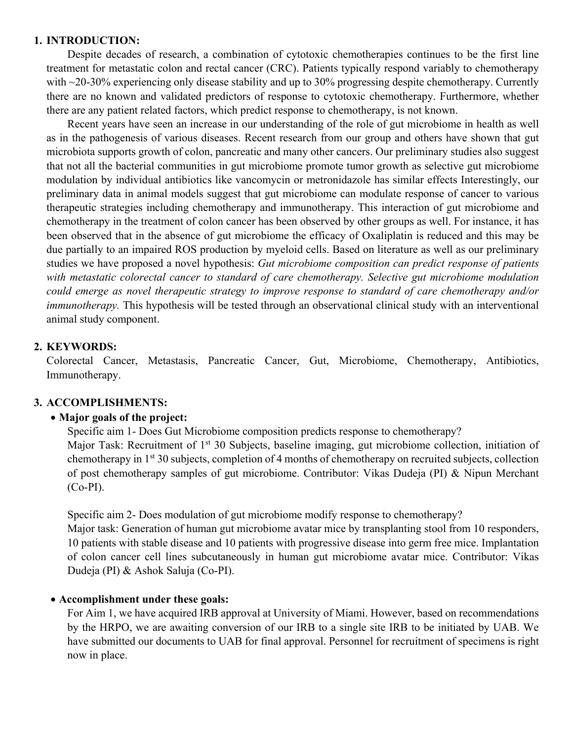#### **1. INTRODUCTION:**

Despite decades of research, a combination of cytotoxic chemotherapies continues to be the first line treatment for metastatic colon and rectal cancer (CRC). Patients typically respond variably to chemotherapy with ~20-30% experiencing only disease stability and up to 30% progressing despite chemotherapy. Currently there are no known and validated predictors of response to cytotoxic chemotherapy. Furthermore, whether there are any patient related factors, which predict response to chemotherapy, is not known.

Recent years have seen an increase in our understanding of the role of gut microbiome in health as well as in the pathogenesis of various diseases. Recent research from our group and others have shown that gut microbiota supports growth of colon, pancreatic and many other cancers. Our preliminary studies also suggest that not all the bacterial communities in gut microbiome promote tumor growth as selective gut microbiome modulation by individual antibiotics like vancomycin or metronidazole has similar effects Interestingly, our preliminary data in animal models suggest that gut microbiome can modulate response of cancer to various therapeutic strategies including chemotherapy and immunotherapy. This interaction of gut microbiome and chemotherapy in the treatment of colon cancer has been observed by other groups as well. For instance, it has been observed that in the absence of gut microbiome the efficacy of Oxaliplatin is reduced and this may be due partially to an impaired ROS production by myeloid cells. Based on literature as well as our preliminary studies we have proposed a novel hypothesis: *Gut microbiome composition can predict response of patients with metastatic colorectal cancer to standard of care chemotherapy. Selective gut microbiome modulation could emerge as novel therapeutic strategy to improve response to standard of care chemotherapy and/or immunotherapy.* This hypothesis will be tested through an observational clinical study with an interventional animal study component.

## **2. KEYWORDS:**

Colorectal Cancer, Metastasis, Pancreatic Cancer, Gut, Microbiome, Chemotherapy, Antibiotics, Immunotherapy.

### **3. ACCOMPLISHMENTS:**

### **Major goals of the project:**

Specific aim 1- Does Gut Microbiome composition predicts response to chemotherapy? Major Task: Recruitment of 1<sup>st</sup> 30 Subjects, baseline imaging, gut microbiome collection, initiation of chemotherapy in 1st 30 subjects, completion of 4 months of chemotherapy on recruited subjects, collection of post chemotherapy samples of gut microbiome. Contributor: Vikas Dudeja (PI) & Nipun Merchant (Co-PI).

Specific aim 2- Does modulation of gut microbiome modify response to chemotherapy?

Major task: Generation of human gut microbiome avatar mice by transplanting stool from 10 responders, 10 patients with stable disease and 10 patients with progressive disease into germ free mice. Implantation of colon cancer cell lines subcutaneously in human gut microbiome avatar mice. Contributor: Vikas Dudeja (PI) & Ashok Saluja (Co-PI).

### **Accomplishment under these goals:**

For Aim 1, we have acquired IRB approval at University of Miami. However, based on recommendations by the HRPO, we are awaiting conversion of our IRB to a single site IRB to be initiated by UAB. We have submitted our documents to UAB for final approval. Personnel for recruitment of specimens is right now in place.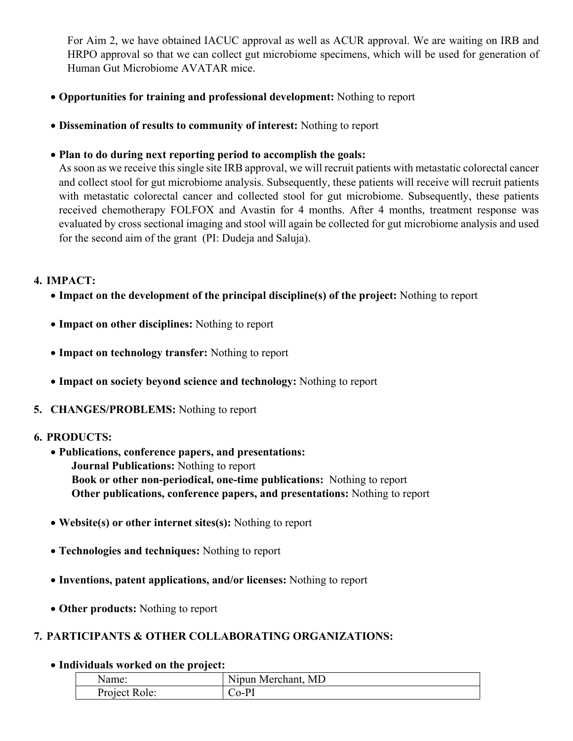For Aim 2, we have obtained IACUC approval as well as ACUR approval. We are waiting on IRB and HRPO approval so that we can collect gut microbiome specimens, which will be used for generation of Human Gut Microbiome AVATAR mice.

- **Opportunities for training and professional development:** Nothing to report
- **Dissemination of results to community of interest:** Nothing to report
- **Plan to do during next reporting period to accomplish the goals:**

As soon as we receive this single site IRB approval, we will recruit patients with metastatic colorectal cancer and collect stool for gut microbiome analysis. Subsequently, these patients will receive will recruit patients with metastatic colorectal cancer and collected stool for gut microbiome. Subsequently, these patients received chemotherapy FOLFOX and Avastin for 4 months. After 4 months, treatment response was evaluated by cross sectional imaging and stool will again be collected for gut microbiome analysis and used for the second aim of the grant (PI: Dudeja and Saluja).

### **4. IMPACT:**

- **Impact on the development of the principal discipline(s) of the project:** Nothing to report
- **Impact on other disciplines:** Nothing to report
- **Impact on technology transfer:** Nothing to report
- **Impact on society beyond science and technology:** Nothing to report
- **5. CHANGES/PROBLEMS:** Nothing to report

### **6. PRODUCTS:**

- **Publications, conference papers, and presentations: Journal Publications:** Nothing to report **Book or other non-periodical, one-time publications:** Nothing to report **Other publications, conference papers, and presentations:** Nothing to report
- **Website(s) or other internet sites(s):** Nothing to report
- **Technologies and techniques:** Nothing to report
- **Inventions, patent applications, and/or licenses:** Nothing to report
- **Other products:** Nothing to report

## **7. PARTICIPANTS & OTHER COLLABORATING ORGANIZATIONS:**

**Individuals worked on the project:**

| Name:         | <b>TT</b><br>Nipun Merchant, MD |
|---------------|---------------------------------|
| Project Role: | $\alpha$ - $P^r$                |